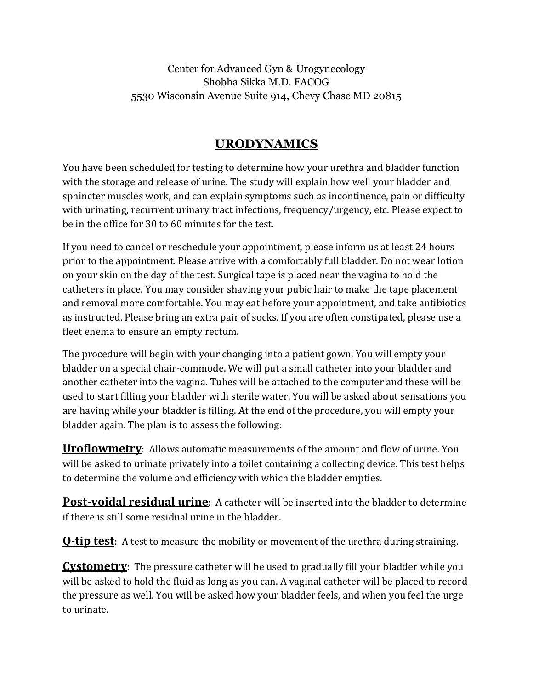Center for Advanced Gyn & Urogynecology Shobha Sikka M.D. FACOG 5530 Wisconsin Avenue Suite 914, Chevy Chase MD 20815

## **URODYNAMICS**

You have been scheduled for testing to determine how your urethra and bladder function with the storage and release of urine. The study will explain how well your bladder and sphincter muscles work, and can explain symptoms such as incontinence, pain or difficulty with urinating, recurrent urinary tract infections, frequency/urgency, etc. Please expect to be in the office for 30 to 60 minutes for the test.

If you need to cancel or reschedule your appointment, please inform us at least 24 hours prior to the appointment. Please arrive with a comfortably full bladder. Do not wear lotion on your skin on the day of the test. Surgical tape is placed near the vagina to hold the catheters in place. You may consider shaving your pubic hair to make the tape placement and removal more comfortable. You may eat before your appointment, and take antibiotics as instructed. Please bring an extra pair of socks. If you are often constipated, please use a fleet enema to ensure an empty rectum.

The procedure will begin with your changing into a patient gown. You will empty your bladder on a special chair‐commode. We will put a small catheter into your bladder and another catheter into the vagina. Tubes will be attached to the computer and these will be used to start filling your bladder with sterile water. You will be asked about sensations you are having while your bladder is filling. At the end of the procedure, you will empty your bladder again. The plan is to assess the following:

**Uroflowmetry**: Allows automatic measurements of the amount and flow of urine. You will be asked to urinate privately into a toilet containing a collecting device. This test helps to determine the volume and efficiency with which the bladder empties.

**Post-voidal residual urine**: A catheter will be inserted into the bladder to determine if there is still some residual urine in the bladder.

**Q-tip test**: A test to measure the mobility or movement of the urethra during straining.

**Cystometry**: The pressure catheter will be used to gradually fill your bladder while you will be asked to hold the fluid as long as you can. A vaginal catheter will be placed to record the pressure as well. You will be asked how your bladder feels, and when you feel the urge to urinate.